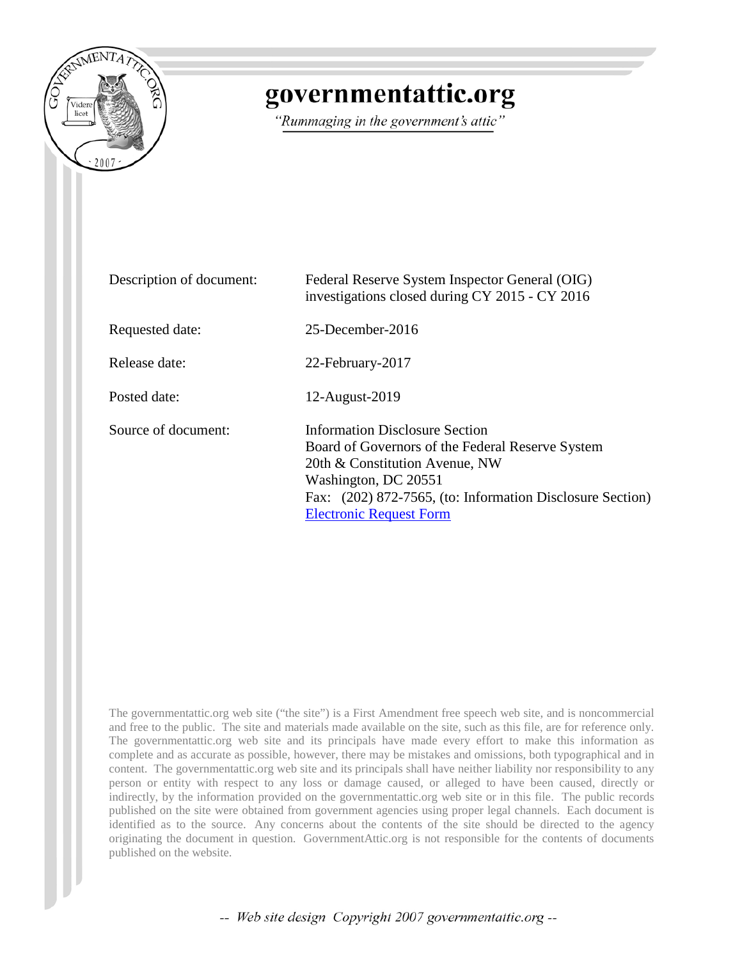

## governmentattic.org

"Rummaging in the government's attic"

| Description of document: | Federal Reserve System Inspector General (OIG)<br>investigations closed during CY 2015 - CY 2016                                                                                                                                            |  |
|--------------------------|---------------------------------------------------------------------------------------------------------------------------------------------------------------------------------------------------------------------------------------------|--|
| Requested date:          | 25-December-2016                                                                                                                                                                                                                            |  |
| Release date:            | 22-February-2017                                                                                                                                                                                                                            |  |
| Posted date:             | 12-August-2019                                                                                                                                                                                                                              |  |
| Source of document:      | Information Disclosure Section<br>Board of Governors of the Federal Reserve System<br>20th & Constitution Avenue, NW<br>Washington, DC 20551<br>Fax: (202) 872-7565, (to: Information Disclosure Section)<br><b>Electronic Request Form</b> |  |

The governmentattic.org web site ("the site") is a First Amendment free speech web site, and is noncommercial and free to the public. The site and materials made available on the site, such as this file, are for reference only. The governmentattic.org web site and its principals have made every effort to make this information as complete and as accurate as possible, however, there may be mistakes and omissions, both typographical and in content. The governmentattic.org web site and its principals shall have neither liability nor responsibility to any person or entity with respect to any loss or damage caused, or alleged to have been caused, directly or indirectly, by the information provided on the governmentattic.org web site or in this file. The public records published on the site were obtained from government agencies using proper legal channels. Each document is identified as to the source. Any concerns about the contents of the site should be directed to the agency originating the document in question. GovernmentAttic.org is not responsible for the contents of documents published on the website.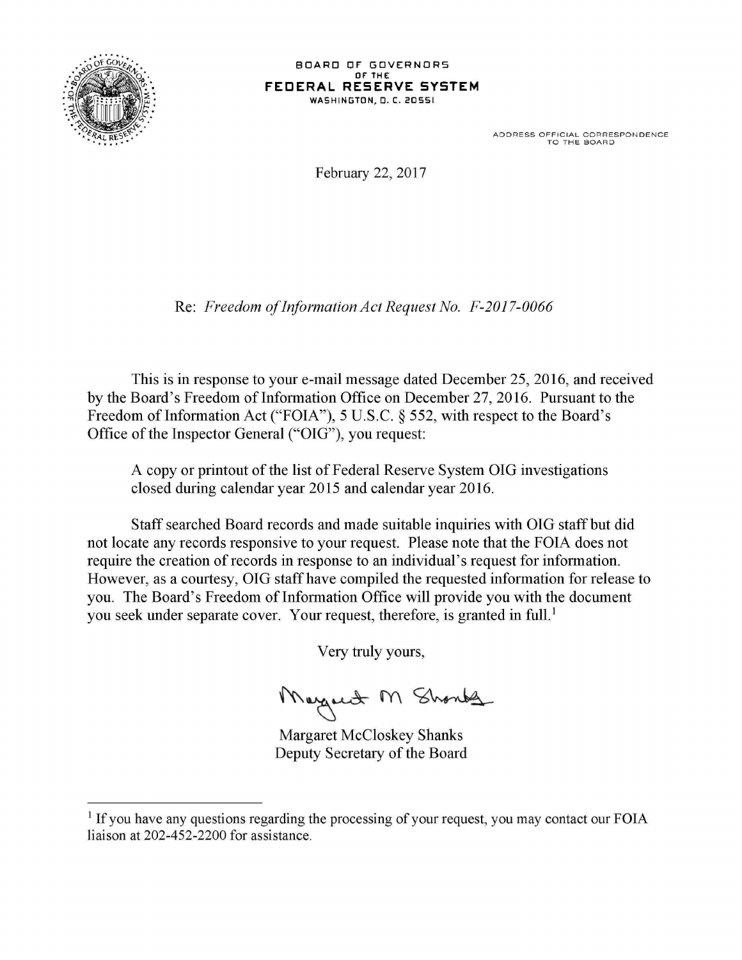

## BOARD OF GOVERNORS OF THE **FECERAL RESERVE SYSTEM WASHINGTON,** •**. C. <sup>20551</sup>**

ADDRESS OFFICIAL CORRESPONDENCE<br>TO THE BOARD

February 22, 2017

Re: *Freedom of Information Act Request No. F-2017-0066* 

This is in response to your e-mail message dated December 25, 2016, and received by the Board's Freedom of Information Office on December 27, 2016. Pursuant to the Freedom of Information Act ("FOIA"), 5 U.S.C. § 552, with respect to the Board's Office of the Inspector General ("OIG"), you request:

A copy or printout of the list of Federal Reserve System OIG investigations closed during calendar year 2015 and calendar year 2016.

Staff searched Board records and made suitable inquiries with OIG staff but did not locate any records responsive to your request. Please note that the FOIA does not require the creation of records in response to an individual's request for information. However, as a courtesy, OIG staff have compiled the requested information for release to you. The Board's Freedom of Information Office will provide you with the document you seek under separate cover. Your request, therefore, is granted in full.<sup>1</sup>

Very truly yours,

Margaret M Shonts

Margaret McCloskey Shanks Deputy Secretary of the Board

 $<sup>1</sup>$  If you have any questions regarding the processing of your request, you may contact our FOIA</sup> liaison at 202-452-2200 for assistance.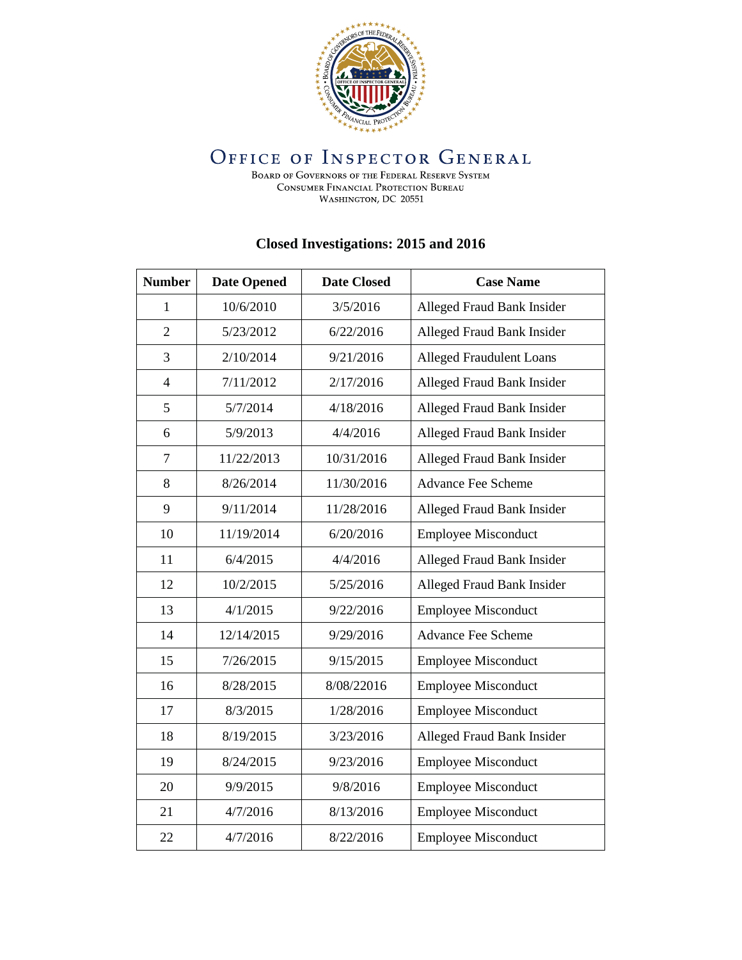

## **OFFICE OF INSPECTOR GENERAL**

BOARD OF GOVERNORS OF THE FEDERAL RESERVE SYSTEM CONSUMER FINANCIAL PROTECTION BUREAU WASHINGTON, DC 20551

## **Closed Investigations: 2015 and 2016**

| <b>Number</b>  | <b>Date Opened</b> | <b>Date Closed</b> | <b>Case Name</b>                |
|----------------|--------------------|--------------------|---------------------------------|
| 1              | 10/6/2010          | 3/5/2016           | Alleged Fraud Bank Insider      |
| $\overline{2}$ | 5/23/2012          | 6/22/2016          | Alleged Fraud Bank Insider      |
| 3              | 2/10/2014          | 9/21/2016          | <b>Alleged Fraudulent Loans</b> |
| $\overline{4}$ | 7/11/2012          | 2/17/2016          | Alleged Fraud Bank Insider      |
| 5              | 5/7/2014           | 4/18/2016          | Alleged Fraud Bank Insider      |
| 6              | 5/9/2013           | 4/4/2016           | Alleged Fraud Bank Insider      |
| $\overline{7}$ | 11/22/2013         | 10/31/2016         | Alleged Fraud Bank Insider      |
| 8              | 8/26/2014          | 11/30/2016         | <b>Advance Fee Scheme</b>       |
| 9              | 9/11/2014          | 11/28/2016         | Alleged Fraud Bank Insider      |
| 10             | 11/19/2014         | 6/20/2016          | <b>Employee Misconduct</b>      |
| 11             | 6/4/2015           | 4/4/2016           | Alleged Fraud Bank Insider      |
| 12             | 10/2/2015          | 5/25/2016          | Alleged Fraud Bank Insider      |
| 13             | 4/1/2015           | 9/22/2016          | <b>Employee Misconduct</b>      |
| 14             | 12/14/2015         | 9/29/2016          | Advance Fee Scheme              |
| 15             | 7/26/2015          | 9/15/2015          | <b>Employee Misconduct</b>      |
| 16             | 8/28/2015          | 8/08/22016         | <b>Employee Misconduct</b>      |
| 17             | 8/3/2015           | 1/28/2016          | <b>Employee Misconduct</b>      |
| 18             | 8/19/2015          | 3/23/2016          | Alleged Fraud Bank Insider      |
| 19             | 8/24/2015          | 9/23/2016          | <b>Employee Misconduct</b>      |
| 20             | 9/9/2015           | 9/8/2016           | <b>Employee Misconduct</b>      |
| 21             | 4/7/2016           | 8/13/2016          | <b>Employee Misconduct</b>      |
| 22             | 4/7/2016           | 8/22/2016          | <b>Employee Misconduct</b>      |